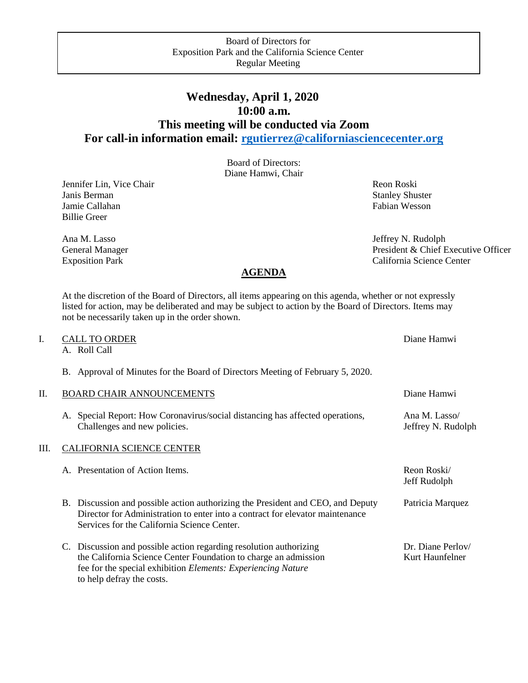## **Wednesday, April 1, 2020 10:00 a.m. This meeting will be conducted via Zoom For call-in information email: [rgutierrez@californiasciencecenter.org](mailto:rgutierrez@californiasciencecenter.org)**

Board of Directors: Diane Hamwi, Chair

**Jennifer Lin, Vice Chair** Revenue and *Reon Roski* Reon Roski Janis Berman Stanley Shuster Stanley Shuster Jamie Callahan Fabian Wesson Billie Greer

Ana M. Lasso Jeffrey N. Rudolph General Manager President & Chief Executive Officer Exposition Park California Science Center

## **AGENDA**

At the discretion of the Board of Directors, all items appearing on this agenda, whether or not expressly listed for action, may be deliberated and may be subject to action by the Board of Directors. Items may not be necessarily taken up in the order shown.

| I. | <b>CALL TO ORDER</b><br>A. Roll Call                                                                                                                                                                                                      | Diane Hamwi                          |
|----|-------------------------------------------------------------------------------------------------------------------------------------------------------------------------------------------------------------------------------------------|--------------------------------------|
|    | B. Approval of Minutes for the Board of Directors Meeting of February 5, 2020.                                                                                                                                                            |                                      |
| П. | <b>BOARD CHAIR ANNOUNCEMENTS</b>                                                                                                                                                                                                          | Diane Hamwi                          |
|    | Special Report: How Coronavirus/social distancing has affected operations,<br>А.<br>Challenges and new policies.                                                                                                                          | Ana M. Lasso/<br>Jeffrey N. Rudolph  |
| Ш. | <b>CALIFORNIA SCIENCE CENTER</b>                                                                                                                                                                                                          |                                      |
|    | A. Presentation of Action Items.                                                                                                                                                                                                          | Reon Roski/<br>Jeff Rudolph          |
|    | B. Discussion and possible action authorizing the President and CEO, and Deputy<br>Director for Administration to enter into a contract for elevator maintenance<br>Services for the California Science Center.                           | Patricia Marquez                     |
|    | C. Discussion and possible action regarding resolution authorizing<br>the California Science Center Foundation to charge an admission<br>fee for the special exhibition <i>Elements: Experiencing Nature</i><br>to help defray the costs. | Dr. Diane Perlov/<br>Kurt Haunfelner |